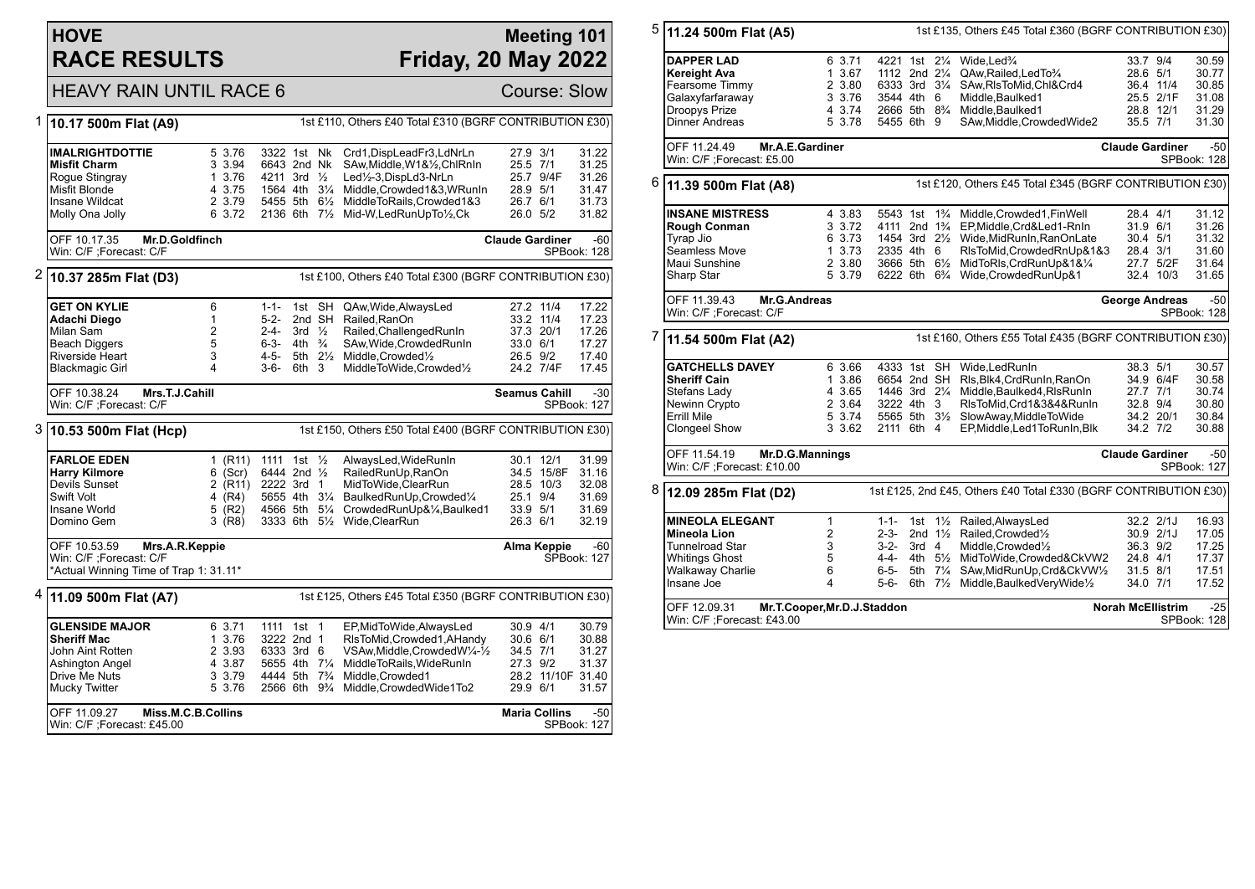# **HOVE RACE RESULTS**

### **Meeting 101 Friday, 20 May 2022**

# HEAVY RAIN UNTIL RACE 6 Course: Slow

|   | 10.17 500m Flat (A9)                                                                 | 1st £110, Others £40 Total £310 (BGRF CONTRIBUTION £30) |                          |                   |                |                                                            |                        |                        |                      |
|---|--------------------------------------------------------------------------------------|---------------------------------------------------------|--------------------------|-------------------|----------------|------------------------------------------------------------|------------------------|------------------------|----------------------|
|   |                                                                                      |                                                         |                          |                   |                |                                                            |                        |                        |                      |
|   | <b>IMALRIGHTDOTTIE</b>                                                               | 5 3.76                                                  | 3322 1st Nk              |                   |                | Crd1,DispLeadFr3,LdNrLn                                    | 27.9 3/1               |                        | 31.22                |
|   | <b>Misfit Charm</b>                                                                  | 3 3.94                                                  | 6643 2nd Nk              |                   |                | SAw, Middle, W1&1/2, ChlRnIn                               | 25.5 7/1               |                        | 31.25                |
|   | Rogue Stingray                                                                       | 1 3.76                                                  | 4211 3rd 1/2             |                   |                | Led1/2-3, DispLd3-NrLn                                     |                        | 25.7 9/4F              | 31.26                |
|   | Misfit Blonde                                                                        | 4 3.75                                                  | 1564 4th 31/4            |                   |                | Middle, Crowded1&3, WRunIn                                 | 28.9 5/1               |                        | 31.47                |
|   | Insane Wildcat                                                                       | 2 3.79                                                  | 5455 5th 61/2            |                   |                | MiddleToRails, Crowded1&3                                  | 26.7 6/1               |                        | 31.73                |
|   | Molly Ona Jolly                                                                      | 6 3.72                                                  | 2136 6th                 |                   | $7\frac{1}{2}$ | Mid-W,LedRunUpTo1/2,Ck                                     | 26.0 5/2               |                        | 31.82                |
|   | OFF 10.17.35<br>Mr.D.Goldfinch                                                       |                                                         |                          |                   |                |                                                            | <b>Claude Gardiner</b> |                        | $-60$                |
|   | Win: C/F ;Forecast: C/F                                                              |                                                         |                          |                   |                |                                                            |                        |                        | SPBook: 128          |
|   | $2 10.37285$ m Flat (D3)<br>1st £100, Others £40 Total £300 (BGRF CONTRIBUTION £30)  |                                                         |                          |                   |                |                                                            |                        |                        |                      |
|   | <b>GET ON KYLIE</b>                                                                  | 6                                                       | $1 - 1 -$                |                   | 1st SH         |                                                            |                        |                        | 17.22                |
|   | Adachi Diego                                                                         | 1                                                       | 5-2-                     |                   | 2nd SH         | QAw, Wide, Always Led<br>Railed, RanOn                     |                        | 27.2 11/4<br>33.2 11/4 | 17.23                |
|   | Milan Sam                                                                            | $\overline{2}$                                          | 2-4-                     | 3rd $\frac{1}{2}$ |                | Railed, Challenged RunIn                                   |                        | 37.3 20/1              | 17.26                |
|   | <b>Beach Diggers</b>                                                                 | 5                                                       | $6 - 3 -$                | 4th $\frac{3}{4}$ |                | SAw, Wide, Crowded RunIn                                   | 33.0 6/1               |                        | 17.27                |
|   | <b>Riverside Heart</b>                                                               | 3                                                       | 4-5-                     |                   | 5th 2½         | Middle, Crowded <sup>1</sup> / <sub>2</sub>                | 26.5 9/2               |                        | 17.40                |
|   | <b>Blackmagic Girl</b>                                                               | 4                                                       | 3-6-                     | $6th$ 3           |                | MiddleToWide,Crowded1/2                                    |                        | 24.2 7/4F              | 17.45                |
|   | OFF 10.38.24<br>Mrs.T.J.Cahill<br>Win: C/F ;Forecast: C/F                            |                                                         |                          |                   |                |                                                            | <b>Seamus Cahill</b>   |                        | $-30$<br>SPBook: 127 |
|   |                                                                                      |                                                         |                          |                   |                |                                                            |                        |                        |                      |
| 3 | 10.53 500m Flat (Hcp)                                                                | 1st £150, Others £50 Total £400 (BGRF CONTRIBUTION £30) |                          |                   |                |                                                            |                        |                        |                      |
|   | <b>FARLOE EDEN</b>                                                                   | 1 $(R11)$                                               | 1111 1st 1/ <sub>2</sub> |                   |                | AlwaysLed, WideRunIn                                       |                        | 30.1 12/1              | 31.99                |
|   | <b>Harry Kilmore</b>                                                                 | (Scr)<br>6                                              | 6444 2nd 1/2             |                   |                | RailedRunUp, RanOn                                         |                        | 34.5 15/8F             | 31.16                |
|   | Devils Sunset                                                                        | 2 (R11) 2222 3rd 1                                      |                          |                   |                | MidToWide, ClearRun                                        |                        | 28.5 10/3              | 32.08                |
|   | Swift Volt                                                                           | (R4)<br>4                                               | 5655 4th 31/4            |                   |                | BaulkedRunUp, Crowded1/4                                   | 25.1 9/4               |                        | 31.69                |
|   | Insane World<br>Domino Gem                                                           | 5<br>(R2)<br>$3$ (R8)                                   | 4566 5th 51/4            |                   |                | CrowdedRunUp&1/4,Baulked1<br>3333 6th 51/2 Wide, Clear Run | 33.9 5/1<br>26.3 6/1   |                        | 31.69<br>32.19       |
|   |                                                                                      |                                                         |                          |                   |                |                                                            |                        |                        |                      |
|   | OFF 10.53.59<br>Mrs.A.R.Keppie                                                       |                                                         |                          |                   |                |                                                            |                        | Alma Keppie            | $-60$                |
|   | Win: C/F : Forecast: C/F<br>*Actual Winning Time of Trap 1: 31.11*                   |                                                         |                          |                   |                |                                                            |                        |                        | <b>SPBook: 127</b>   |
|   |                                                                                      |                                                         |                          |                   |                |                                                            |                        |                        |                      |
|   | 4<br>1st £125, Others £45 Total £350 (BGRF CONTRIBUTION £30)<br>11.09 500m Flat (A7) |                                                         |                          |                   |                |                                                            |                        |                        |                      |
|   | <b>GLENSIDE MAJOR</b>                                                                | 6 3.71                                                  | 1111 1st 1               |                   |                | EP, MidTo Wide, Always Led                                 | 30.9 4/1               |                        | 30.79                |
|   | <b>Sheriff Mac</b>                                                                   | 1 3.76                                                  | 3222 2nd 1               |                   |                | RIsToMid, Crowded1, AHandy                                 | 30.6 6/1               |                        | 30.88                |
|   | John Aint Rotten                                                                     | 2 3.93                                                  | 6333 3rd 6               |                   |                | VSAw, Middle, Crowded W1/4-1/2                             | 34.5 7/1               |                        | 31.27                |
|   | Ashington Angel                                                                      | 4 3.87                                                  | 5655 4th 71/4            |                   |                | MiddleToRails, WideRunIn                                   | 27.3 9/2               |                        | 31.37                |
|   | Drive Me Nuts                                                                        | 3 3.79<br>5 3.76                                        | 4444 5th                 |                   | $7\frac{3}{4}$ | Middle, Crowded1                                           |                        | 28.2 11/10F 31.40      |                      |
|   | Mucky Twitter                                                                        |                                                         | 2566 6th                 |                   | $9\frac{3}{4}$ | Middle, Crowded Wide1To2                                   | 29.9 6/1               |                        | 31.57                |
|   | OFF 11.09.27<br>Miss.M.C.B.Collins                                                   |                                                         |                          |                   |                |                                                            |                        | <b>Maria Collins</b>   | $-50$                |
|   | Win: C/F : Forecast: £45.00                                                          |                                                         |                          |                   |                |                                                            |                        |                        | SPBook: 127          |

| 5                         | 11.24 500m Flat (A5)                                                            |                             |                                        |                    |                                                         | 1st £135, Others £45 Total £360 (BGRF CONTRIBUTION £30)          |                          |           |                      |  |  |
|---------------------------|---------------------------------------------------------------------------------|-----------------------------|----------------------------------------|--------------------|---------------------------------------------------------|------------------------------------------------------------------|--------------------------|-----------|----------------------|--|--|
|                           | <b>DAPPER LAD</b>                                                               | 6 3.71                      | 4221 1st 21/4                          |                    |                                                         | Wide, Led <sup>3</sup> / <sub>4</sub>                            | 33.7 9/4                 |           | 30.59                |  |  |
|                           | Kereight Ava                                                                    | 1 3.67                      | 1112 2nd 21/4                          |                    |                                                         | QAw, Railed, Led To 3/4                                          | 28.6 5/1                 |           | 30.77                |  |  |
|                           | Fearsome Timmy                                                                  | 2 3.80                      | 6333 3rd 31/4                          |                    |                                                         | SAw, RIsToMid, Chl&Crd4                                          |                          | 36.4 11/4 | 30.85                |  |  |
|                           | Galaxyfarfaraway                                                                | 3 3.76                      | 3544 4th 6                             |                    |                                                         | Middle, Baulked1                                                 |                          | 25.5 2/1F | 31.08                |  |  |
|                           | <b>Droopys Prize</b>                                                            | 4 3.74                      | 2666 5th 8 <sup>3</sup> / <sub>4</sub> |                    |                                                         | Middle.Baulked1                                                  |                          | 28.8 12/1 | 31.29                |  |  |
|                           |                                                                                 |                             |                                        |                    |                                                         |                                                                  |                          |           |                      |  |  |
|                           | Dinner Andreas                                                                  | 5 3.78                      | 5455 6th 9                             |                    |                                                         | SAw, Middle, Crowded Wide2                                       | 35.5 7/1                 |           | 31.30                |  |  |
|                           | OFF 11.24.49<br>Mr.A.E.Gardiner<br>Win: C/F ;Forecast: £5.00                    |                             |                                        |                    |                                                         | $-50$<br><b>Claude Gardiner</b><br>SPBook: 128                   |                          |           |                      |  |  |
|                           |                                                                                 |                             |                                        |                    |                                                         |                                                                  |                          |           |                      |  |  |
| 6                         | 1st £120, Others £45 Total £345 (BGRF CONTRIBUTION £30)<br>11.39 500m Flat (A8) |                             |                                        |                    |                                                         |                                                                  |                          |           |                      |  |  |
|                           | <b>INSANE MISTRESS</b>                                                          | 4 3.83                      | 5543 1st                               |                    | $1\frac{3}{4}$                                          | Middle, Crowded1, FinWell                                        | 28.4 4/1                 |           | 31.12                |  |  |
|                           | Rough Conman                                                                    | 3 3.72                      | 4111 2nd 1 <sup>3</sup> / <sub>4</sub> |                    |                                                         | EP, Middle, Crd&Led1-RnIn                                        | 31.9 6/1                 |           | 31.26                |  |  |
|                           | Tyrap Jio                                                                       | 6 3.73                      |                                        |                    |                                                         | 1454 3rd 21/2 Wide, Mid RunIn, RanOn Late                        | 30.4 5/1                 |           | 31.32                |  |  |
|                           | Seamless Move                                                                   | 1 3.73                      | 2335 4th 6                             |                    |                                                         | RIsToMid, Crowded RnUp&1&3                                       | 28.4 3/1                 |           | 31.60                |  |  |
|                           | Maui Sunshine                                                                   | 2 3.80                      |                                        |                    |                                                         | 3666 5th 61/2 MidToRIs, CrdRunUp&1&1/4                           |                          | 27.7 5/2F | 31.64                |  |  |
|                           | Sharp Star                                                                      | 5 3.79                      |                                        |                    |                                                         | 6222 6th 6 <sup>3</sup> / <sub>4</sub> Wide, Crowded RunUp&1     |                          | 32.4 10/3 | 31.65                |  |  |
|                           |                                                                                 |                             |                                        |                    |                                                         |                                                                  |                          |           |                      |  |  |
|                           | OFF 11.39.43<br>Mr.G.Andreas<br>Win: C/F ;Forecast: C/F                         |                             |                                        |                    |                                                         | $-50$<br><b>George Andreas</b><br>SPBook: 128                    |                          |           |                      |  |  |
|                           |                                                                                 |                             |                                        |                    |                                                         |                                                                  |                          |           |                      |  |  |
| 7<br>11.54 500m Flat (A2) |                                                                                 |                             |                                        |                    | 1st £160, Others £55 Total £435 (BGRF CONTRIBUTION £30) |                                                                  |                          |           |                      |  |  |
|                           | <b>GATCHELLS DAVEY</b>                                                          | 6 3.66                      | 4333 1st                               |                    | <b>SH</b>                                               | Wide, Led Run In                                                 | 38.3 5/1                 |           | 30.57                |  |  |
|                           | <b>Sheriff Cain</b>                                                             | 1 3.86                      | 6654 2nd SH                            |                    |                                                         | Rls, Blk4, CrdRunIn, RanOn                                       |                          | 34.9 6/4F | 30.58                |  |  |
|                           | Stefans Lady                                                                    | 4 3.65                      | 1446 3rd 21/4                          |                    |                                                         | Middle, Baulked4, RIsRunIn                                       | 27.7 7/1                 |           | 30.74                |  |  |
|                           | Newinn Crypto                                                                   | 2 3.64                      | 3222 4th                               |                    | 3                                                       | RIsToMid, Crd1&3&4&RunIn                                         | 32.8 9/4                 |           | 30.80                |  |  |
|                           | Errill Mile                                                                     | 5 3.74                      |                                        |                    |                                                         | 5565 5th 31/2 SlowAway, Middle To Wide                           |                          | 34.2 20/1 | 30.84                |  |  |
|                           | Clongeel Show                                                                   | 3 3.62                      | 2111 6th                               |                    | 4                                                       | EP, Middle, Led 1 To Run In, Blk                                 | 34.2 7/2                 |           | 30.88                |  |  |
|                           | OFF 11.54.19<br>Mr.D.G.Mannings                                                 |                             |                                        |                    |                                                         |                                                                  | <b>Claude Gardiner</b>   |           | $-50$                |  |  |
|                           | Win: C/F : Forecast: £10.00                                                     |                             |                                        |                    |                                                         |                                                                  |                          |           | SPBook: 127          |  |  |
| 8                         | 12.09 285m Flat (D2)                                                            |                             |                                        |                    |                                                         | 1st £125, 2nd £45, Others £40 Total £330 (BGRF CONTRIBUTION £30) |                          |           |                      |  |  |
|                           | <b>MINEOLA ELEGANT</b>                                                          | 1                           | $1 - 1 -$                              | 1st                | $1\frac{1}{2}$                                          | Railed, AlwaysLed                                                | 32.2 2/1J                |           | 16.93                |  |  |
|                           | Mineola Lion                                                                    | $\overline{2}$              | 2-3-                                   | 2nd $1\frac{1}{2}$ |                                                         | Railed, Crowded <sup>1/2</sup>                                   | 30.9 2/1J                |           | 17.05                |  |  |
|                           | Tunnelroad Star                                                                 | 3                           | $3 - 2 -$                              | 3rd <sub>4</sub>   |                                                         | Middle, Crowded1/2                                               | 36.3 9/2                 |           | 17.25                |  |  |
|                           | <b>Whitings Ghost</b>                                                           | 5                           | 4-4-                                   | 4th $5\frac{1}{2}$ |                                                         | MidToWide,Crowded&CkVW2                                          | 24.8 4/1                 |           | 17.37                |  |  |
|                           | <b>Walkaway Charlie</b>                                                         | 6                           | 6-5-                                   | 5th 71/4           |                                                         | SAw, MidRunUp, Crd&CkVW1/2                                       | 31.5 8/1                 |           | 17.51                |  |  |
|                           | Insane Joe                                                                      | 4                           | 5-6-                                   |                    | 6th 7 <sup>1</sup> / <sub>2</sub>                       | Middle, Baulked Very Wide 1/2                                    | 34.0 7/1                 |           | 17.52                |  |  |
|                           |                                                                                 |                             |                                        |                    |                                                         |                                                                  |                          |           |                      |  |  |
|                           | OFF 12.09.31<br>Win: C/F : Forecast: £43.00                                     | Mr.T.Cooper, Mr.D.J.Staddon |                                        |                    |                                                         |                                                                  | <b>Norah McEllistrim</b> |           | $-25$<br>SPBook: 128 |  |  |
|                           |                                                                                 |                             |                                        |                    |                                                         |                                                                  |                          |           |                      |  |  |